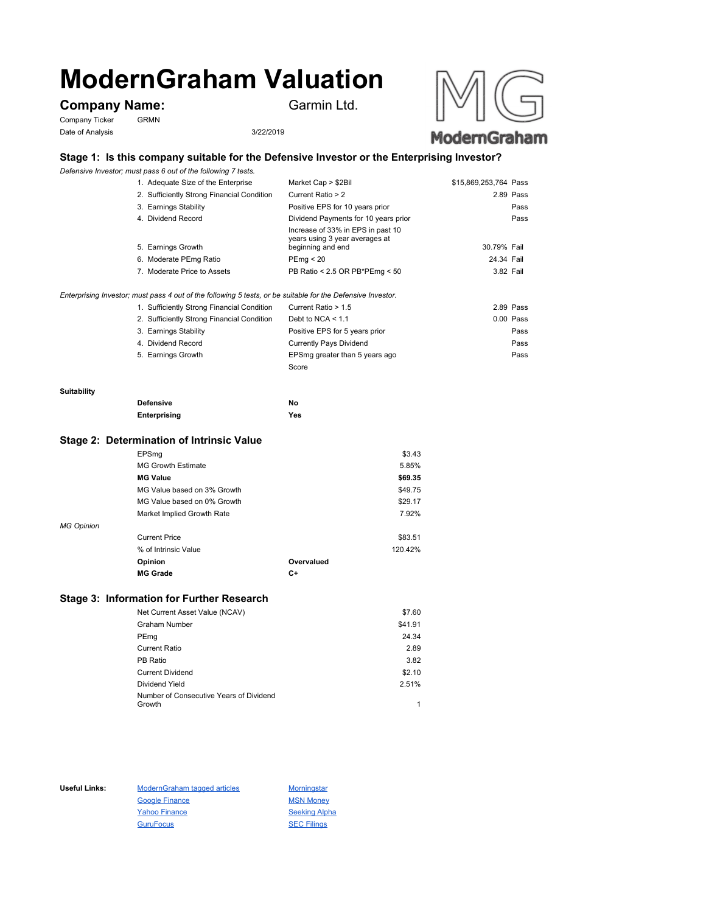# **ModernGraham Valuation**

# **Company Name:** Garmin Ltd.

Company Ticker GRMN Date of Analysis 3/22/2019



## **Stage 1: Is this company suitable for the Defensive Investor or the Enterprising Investor?**

*Defensive Investor; must pass 6 out of the following 7 tests.*

| 1. Adequate Size of the Enterprise         | Market Cap > \$2Bil                                                                      | \$15,869,253,764 Pass |           |
|--------------------------------------------|------------------------------------------------------------------------------------------|-----------------------|-----------|
| 2. Sufficiently Strong Financial Condition | Current Ratio > 2                                                                        |                       | 2.89 Pass |
| 3. Earnings Stability                      | Positive EPS for 10 years prior                                                          |                       | Pass      |
| 4. Dividend Record                         | Dividend Payments for 10 years prior                                                     |                       | Pass      |
| 5. Earnings Growth                         | Increase of 33% in EPS in past 10<br>years using 3 year averages at<br>beginning and end | 30.79% Fail           |           |
| 6. Moderate PEmg Ratio                     | PEmg < 20                                                                                | 24.34 Fail            |           |
| 7. Moderate Price to Assets                | PB Ratio < 2.5 OR PB*PEmg < 50                                                           | 3.82 Fail             |           |
|                                            |                                                                                          |                       |           |

*Enterprising Investor; must pass 4 out of the following 5 tests, or be suitable for the Defensive Investor.*

| 1. Sufficiently Strong Financial Condition | Current Ratio > 1.5            | 2.89 Pass |
|--------------------------------------------|--------------------------------|-----------|
| 2. Sufficiently Strong Financial Condition | Debt to NCA $<$ 1.1            | 0.00 Pass |
| 3. Earnings Stability                      | Positive EPS for 5 years prior | Pass      |
| 4. Dividend Record                         | <b>Currently Pays Dividend</b> | Pass      |
| 5. Earnings Growth                         | EPSmg greater than 5 years ago | Pass      |
|                                            | Score                          |           |

#### **Suitability**

| <b>Defensive</b> | No  |
|------------------|-----|
| Enterprising     | Yes |

#### **Stage 2: Determination of Intrinsic Value**

|                   | EPSmg                       |            | \$3.43  |
|-------------------|-----------------------------|------------|---------|
|                   | <b>MG Growth Estimate</b>   |            | 5.85%   |
|                   | <b>MG Value</b>             |            | \$69.35 |
|                   | MG Value based on 3% Growth |            | \$49.75 |
|                   | MG Value based on 0% Growth |            | \$29.17 |
|                   | Market Implied Growth Rate  |            | 7.92%   |
| <b>MG Opinion</b> |                             |            |         |
|                   | <b>Current Price</b>        |            | \$83.51 |
|                   | % of Intrinsic Value        |            | 120.42% |
|                   | Opinion                     | Overvalued |         |
|                   | <b>MG Grade</b>             | C+         |         |
|                   |                             |            |         |

## **Stage 3: Information for Further Research**

| Net Current Asset Value (NCAV)          | \$7.60  |
|-----------------------------------------|---------|
| Graham Number                           | \$41.91 |
| PEmg                                    | 24.34   |
| Current Ratio                           | 2.89    |
| PB Ratio                                | 3.82    |
| <b>Current Dividend</b>                 | \$2.10  |
| Dividend Yield                          | 2.51%   |
| Number of Consecutive Years of Dividend |         |
| Growth                                  | 1       |

Useful Links: ModernGraham tagged articles Morningstar Google Finance MSN Money Yahoo Finance Seeking Alpha GuruFocus SEC Filings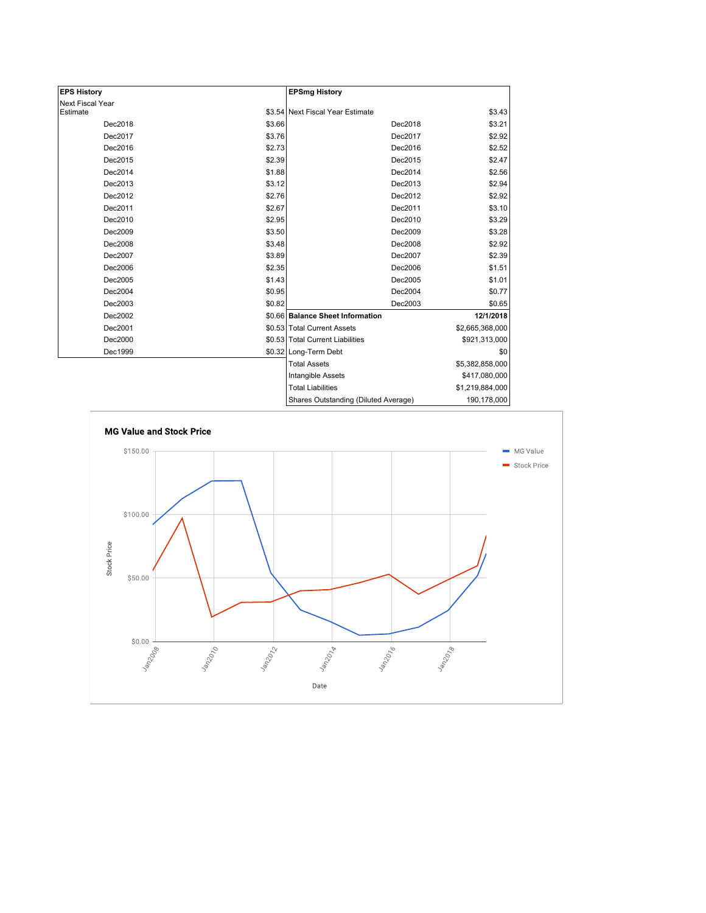| <b>EPS History</b> |        | <b>EPSmg History</b>                 |                 |
|--------------------|--------|--------------------------------------|-----------------|
| Next Fiscal Year   |        |                                      |                 |
| Estimate           |        | \$3.54 Next Fiscal Year Estimate     | \$3.43          |
| Dec2018            | \$3.66 | Dec2018                              | \$3.21          |
| Dec2017            | \$3.76 | Dec2017                              | \$2.92          |
| Dec2016            | \$2.73 | Dec2016                              | \$2.52          |
| Dec2015            | \$2.39 | Dec2015                              | \$2.47          |
| Dec2014            | \$1.88 | Dec2014                              | \$2.56          |
| Dec2013            | \$3.12 | Dec2013                              | \$2.94          |
| Dec2012            | \$2.76 | Dec2012                              | \$2.92          |
| Dec2011            | \$2.67 | Dec2011                              | \$3.10          |
| Dec2010            | \$2.95 | Dec2010                              | \$3.29          |
| Dec2009            | \$3.50 | Dec2009                              | \$3.28          |
| Dec2008            | \$3.48 | Dec2008                              | \$2.92          |
| Dec2007            | \$3.89 | Dec2007                              | \$2.39          |
| Dec2006            | \$2.35 | Dec2006                              | \$1.51          |
| Dec2005            | \$1.43 | Dec2005                              | \$1.01          |
| Dec2004            | \$0.95 | Dec2004                              | \$0.77          |
| Dec2003            | \$0.82 | Dec2003                              | \$0.65          |
| Dec2002            |        | \$0.66 Balance Sheet Information     | 12/1/2018       |
| Dec2001            |        | \$0.53 Total Current Assets          | \$2,665,368,000 |
| Dec2000            |        | \$0.53 Total Current Liabilities     | \$921,313,000   |
| Dec1999            |        | \$0.32 Long-Term Debt                | \$0             |
|                    |        | <b>Total Assets</b>                  | \$5,382,858,000 |
|                    |        | Intangible Assets                    | \$417,080,000   |
|                    |        | <b>Total Liabilities</b>             | \$1,219,884,000 |
|                    |        | Shares Outstanding (Diluted Average) | 190,178,000     |